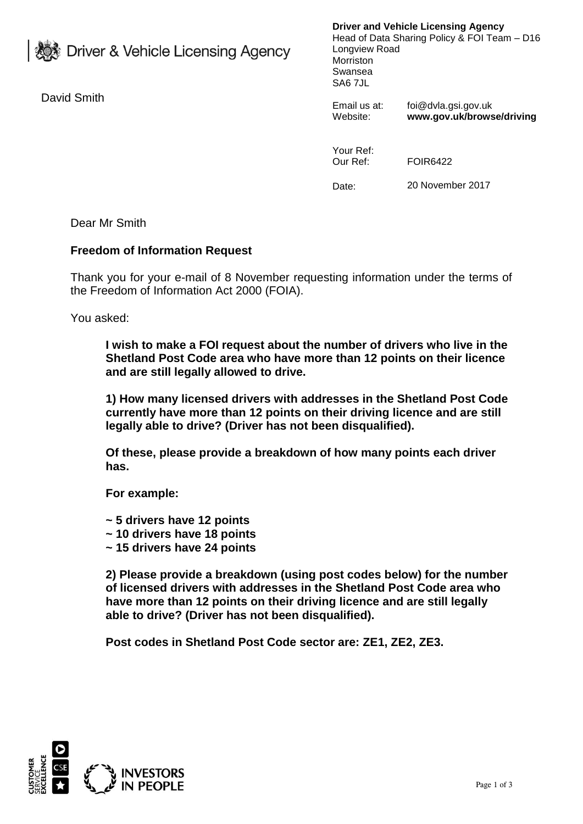**参** Driver & Vehicle Licensing Agency

David Smith

**Driver and Vehicle Licensing Agency** Head of Data Sharing Policy & FOI Team – D16 Longview Road Morriston Swansea SA6 7JL

Email us at: foi@dvla.gsi.gov.uk Website: **www.gov.uk/browse/driving**

Your Ref: Our Ref: FOIR6422

Date: 20 November 2017

Dear Mr Smith

## **Freedom of Information Request**

Thank you for your e-mail of 8 November requesting information under the terms of the Freedom of Information Act 2000 (FOIA).

You asked:

**I wish to make a FOI request about the number of drivers who live in the Shetland Post Code area who have more than 12 points on their licence and are still legally allowed to drive.**

**1) How many licensed drivers with addresses in the Shetland Post Code currently have more than 12 points on their driving licence and are still legally able to drive? (Driver has not been disqualified).**

**Of these, please provide a breakdown of how many points each driver has.**

**For example:**

- **~ 5 drivers have 12 points**
- **~ 10 drivers have 18 points**
- **~ 15 drivers have 24 points**

**2) Please provide a breakdown (using post codes below) for the number of licensed drivers with addresses in the Shetland Post Code area who have more than 12 points on their driving licence and are still legally able to drive? (Driver has not been disqualified).**

**Post codes in Shetland Post Code sector are: ZE1, ZE2, ZE3.**

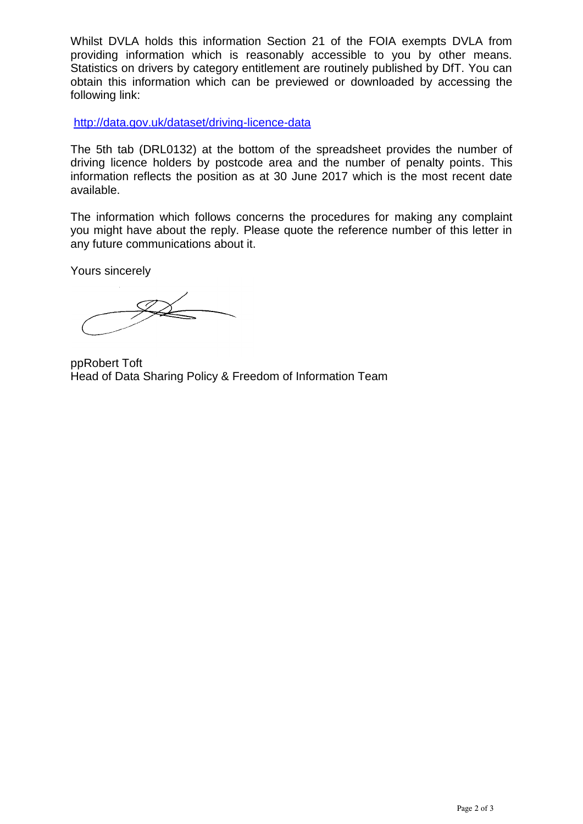Whilst DVLA holds this information Section 21 of the FOIA exempts DVLA from providing information which is reasonably accessible to you by other means. Statistics on drivers by category entitlement are routinely published by DfT. You can obtain this information which can be previewed or downloaded by accessing the following link:

<http://data.gov.uk/dataset/driving-licence-data>

The 5th tab (DRL0132) at the bottom of the spreadsheet provides the number of driving licence holders by postcode area and the number of penalty points. This information reflects the position as at 30 June 2017 which is the most recent date available.

The information which follows concerns the procedures for making any complaint you might have about the reply. Please quote the reference number of this letter in any future communications about it.

Yours sincerely

ppRobert Toft Head of Data Sharing Policy & Freedom of Information Team